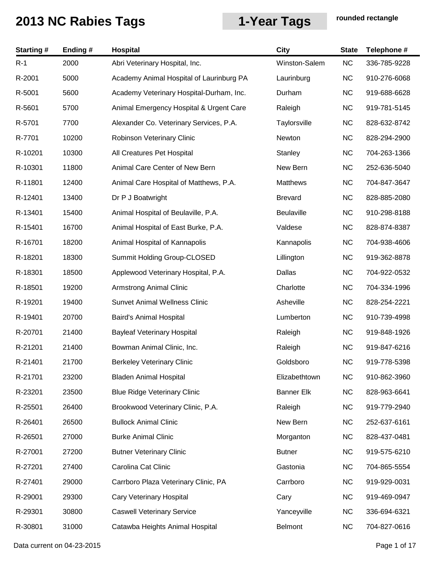| <b>Starting#</b> | Ending# | Hospital                                 | <b>City</b>       | <b>State</b> | Telephone #  |
|------------------|---------|------------------------------------------|-------------------|--------------|--------------|
| $R-1$            | 2000    | Abri Veterinary Hospital, Inc.           | Winston-Salem     | NC           | 336-785-9228 |
| R-2001           | 5000    | Academy Animal Hospital of Laurinburg PA | Laurinburg        | <b>NC</b>    | 910-276-6068 |
| R-5001           | 5600    | Academy Veterinary Hospital-Durham, Inc. | Durham            | <b>NC</b>    | 919-688-6628 |
| R-5601           | 5700    | Animal Emergency Hospital & Urgent Care  | Raleigh           | <b>NC</b>    | 919-781-5145 |
| R-5701           | 7700    | Alexander Co. Veterinary Services, P.A.  | Taylorsville      | <b>NC</b>    | 828-632-8742 |
| R-7701           | 10200   | Robinson Veterinary Clinic               | Newton            | <b>NC</b>    | 828-294-2900 |
| R-10201          | 10300   | All Creatures Pet Hospital               | Stanley           | <b>NC</b>    | 704-263-1366 |
| R-10301          | 11800   | Animal Care Center of New Bern           | New Bern          | <b>NC</b>    | 252-636-5040 |
| R-11801          | 12400   | Animal Care Hospital of Matthews, P.A.   | Matthews          | <b>NC</b>    | 704-847-3647 |
| R-12401          | 13400   | Dr P J Boatwright                        | <b>Brevard</b>    | <b>NC</b>    | 828-885-2080 |
| R-13401          | 15400   | Animal Hospital of Beulaville, P.A.      | Beulaville        | <b>NC</b>    | 910-298-8188 |
| R-15401          | 16700   | Animal Hospital of East Burke, P.A.      | Valdese           | <b>NC</b>    | 828-874-8387 |
| R-16701          | 18200   | Animal Hospital of Kannapolis            | Kannapolis        | <b>NC</b>    | 704-938-4606 |
| R-18201          | 18300   | Summit Holding Group-CLOSED              | Lillington        | <b>NC</b>    | 919-362-8878 |
| R-18301          | 18500   | Applewood Veterinary Hospital, P.A.      | Dallas            | <b>NC</b>    | 704-922-0532 |
| R-18501          | 19200   | <b>Armstrong Animal Clinic</b>           | Charlotte         | <b>NC</b>    | 704-334-1996 |
| R-19201          | 19400   | <b>Sunvet Animal Wellness Clinic</b>     | Asheville         | <b>NC</b>    | 828-254-2221 |
| R-19401          | 20700   | Baird's Animal Hospital                  | Lumberton         | <b>NC</b>    | 910-739-4998 |
| R-20701          | 21400   | <b>Bayleaf Veterinary Hospital</b>       | Raleigh           | <b>NC</b>    | 919-848-1926 |
| R-21201          | 21400   | Bowman Animal Clinic, Inc.               | Raleigh           | <b>NC</b>    | 919-847-6216 |
| R-21401          | 21700   | <b>Berkeley Veterinary Clinic</b>        | Goldsboro         | <b>NC</b>    | 919-778-5398 |
| R-21701          | 23200   | <b>Bladen Animal Hospital</b>            | Elizabethtown     | <b>NC</b>    | 910-862-3960 |
| R-23201          | 23500   | <b>Blue Ridge Veterinary Clinic</b>      | <b>Banner Elk</b> | <b>NC</b>    | 828-963-6641 |
| R-25501          | 26400   | Brookwood Veterinary Clinic, P.A.        | Raleigh           | <b>NC</b>    | 919-779-2940 |
| R-26401          | 26500   | <b>Bullock Animal Clinic</b>             | New Bern          | <b>NC</b>    | 252-637-6161 |
| R-26501          | 27000   | <b>Burke Animal Clinic</b>               | Morganton         | <b>NC</b>    | 828-437-0481 |
| R-27001          | 27200   | <b>Butner Veterinary Clinic</b>          | <b>Butner</b>     | <b>NC</b>    | 919-575-6210 |
| R-27201          | 27400   | Carolina Cat Clinic                      | Gastonia          | <b>NC</b>    | 704-865-5554 |
| R-27401          | 29000   | Carrboro Plaza Veterinary Clinic, PA     | Carrboro          | <b>NC</b>    | 919-929-0031 |
| R-29001          | 29300   | Cary Veterinary Hospital                 | Cary              | <b>NC</b>    | 919-469-0947 |
| R-29301          | 30800   | <b>Caswell Veterinary Service</b>        | Yanceyville       | <b>NC</b>    | 336-694-6321 |
| R-30801          | 31000   | Catawba Heights Animal Hospital          | <b>Belmont</b>    | <b>NC</b>    | 704-827-0616 |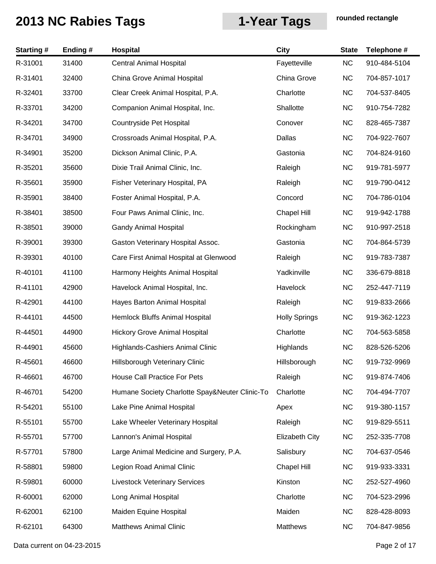| <b>Starting#</b> | Ending# | Hospital                                       | <b>City</b>          | <b>State</b> | Telephone #  |
|------------------|---------|------------------------------------------------|----------------------|--------------|--------------|
| R-31001          | 31400   | <b>Central Animal Hospital</b>                 | Fayetteville         | <b>NC</b>    | 910-484-5104 |
| R-31401          | 32400   | China Grove Animal Hospital                    | China Grove          | <b>NC</b>    | 704-857-1017 |
| R-32401          | 33700   | Clear Creek Animal Hospital, P.A.              | Charlotte            | <b>NC</b>    | 704-537-8405 |
| R-33701          | 34200   | Companion Animal Hospital, Inc.                | Shallotte            | <b>NC</b>    | 910-754-7282 |
| R-34201          | 34700   | Countryside Pet Hospital                       | Conover              | <b>NC</b>    | 828-465-7387 |
| R-34701          | 34900   | Crossroads Animal Hospital, P.A.               | Dallas               | <b>NC</b>    | 704-922-7607 |
| R-34901          | 35200   | Dickson Animal Clinic, P.A.                    | Gastonia             | <b>NC</b>    | 704-824-9160 |
| R-35201          | 35600   | Dixie Trail Animal Clinic, Inc.                | Raleigh              | <b>NC</b>    | 919-781-5977 |
| R-35601          | 35900   | Fisher Veterinary Hospital, PA                 | Raleigh              | <b>NC</b>    | 919-790-0412 |
| R-35901          | 38400   | Foster Animal Hospital, P.A.                   | Concord              | <b>NC</b>    | 704-786-0104 |
| R-38401          | 38500   | Four Paws Animal Clinic, Inc.                  | Chapel Hill          | <b>NC</b>    | 919-942-1788 |
| R-38501          | 39000   | <b>Gandy Animal Hospital</b>                   | Rockingham           | <b>NC</b>    | 910-997-2518 |
| R-39001          | 39300   | Gaston Veterinary Hospital Assoc.              | Gastonia             | <b>NC</b>    | 704-864-5739 |
| R-39301          | 40100   | Care First Animal Hospital at Glenwood         | Raleigh              | <b>NC</b>    | 919-783-7387 |
| R-40101          | 41100   | Harmony Heights Animal Hospital                | Yadkinville          | <b>NC</b>    | 336-679-8818 |
| R-41101          | 42900   | Havelock Animal Hospital, Inc.                 | Havelock             | <b>NC</b>    | 252-447-7119 |
| R-42901          | 44100   | Hayes Barton Animal Hospital                   | Raleigh              | <b>NC</b>    | 919-833-2666 |
| R-44101          | 44500   | Hemlock Bluffs Animal Hospital                 | <b>Holly Springs</b> | <b>NC</b>    | 919-362-1223 |
| R-44501          | 44900   | <b>Hickory Grove Animal Hospital</b>           | Charlotte            | <b>NC</b>    | 704-563-5858 |
| R-44901          | 45600   | Highlands-Cashiers Animal Clinic               | Highlands            | <b>NC</b>    | 828-526-5206 |
| R-45601          | 46600   | Hillsborough Veterinary Clinic                 | Hillsborough         | <b>NC</b>    | 919-732-9969 |
| R-46601          | 46700   | House Call Practice For Pets                   | Raleigh              | <b>NC</b>    | 919-874-7406 |
| R-46701          | 54200   | Humane Society Charlotte Spay&Neuter Clinic-To | Charlotte            | <b>NC</b>    | 704-494-7707 |
| R-54201          | 55100   | Lake Pine Animal Hospital                      | Apex                 | <b>NC</b>    | 919-380-1157 |
| R-55101          | 55700   | Lake Wheeler Veterinary Hospital               | Raleigh              | <b>NC</b>    | 919-829-5511 |
| R-55701          | 57700   | Lannon's Animal Hospital                       | Elizabeth City       | <b>NC</b>    | 252-335-7708 |
| R-57701          | 57800   | Large Animal Medicine and Surgery, P.A.        | Salisbury            | <b>NC</b>    | 704-637-0546 |
| R-58801          | 59800   | Legion Road Animal Clinic                      | Chapel Hill          | <b>NC</b>    | 919-933-3331 |
| R-59801          | 60000   | <b>Livestock Veterinary Services</b>           | Kinston              | <b>NC</b>    | 252-527-4960 |
| R-60001          | 62000   | Long Animal Hospital                           | Charlotte            | <b>NC</b>    | 704-523-2996 |
| R-62001          | 62100   | Maiden Equine Hospital                         | Maiden               | <b>NC</b>    | 828-428-8093 |
| R-62101          | 64300   | <b>Matthews Animal Clinic</b>                  | Matthews             | <b>NC</b>    | 704-847-9856 |

Data current on 04-23-2015 **Page 2 of 17**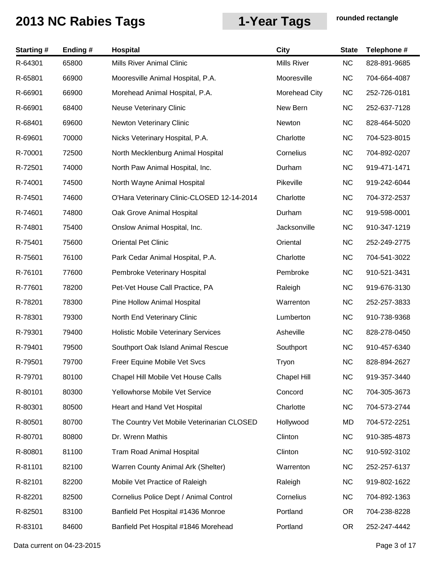| <b>Starting#</b> | Ending# | Hospital                                   | <b>City</b>        | <b>State</b> | Telephone #  |
|------------------|---------|--------------------------------------------|--------------------|--------------|--------------|
| R-64301          | 65800   | Mills River Animal Clinic                  | <b>Mills River</b> | NC           | 828-891-9685 |
| R-65801          | 66900   | Mooresville Animal Hospital, P.A.          | Mooresville        | <b>NC</b>    | 704-664-4087 |
| R-66901          | 66900   | Morehead Animal Hospital, P.A.             | Morehead City      | <b>NC</b>    | 252-726-0181 |
| R-66901          | 68400   | <b>Neuse Veterinary Clinic</b>             | New Bern           | <b>NC</b>    | 252-637-7128 |
| R-68401          | 69600   | Newton Veterinary Clinic                   | Newton             | <b>NC</b>    | 828-464-5020 |
| R-69601          | 70000   | Nicks Veterinary Hospital, P.A.            | Charlotte          | <b>NC</b>    | 704-523-8015 |
| R-70001          | 72500   | North Mecklenburg Animal Hospital          | Cornelius          | <b>NC</b>    | 704-892-0207 |
| R-72501          | 74000   | North Paw Animal Hospital, Inc.            | Durham             | <b>NC</b>    | 919-471-1471 |
| R-74001          | 74500   | North Wayne Animal Hospital                | Pikeville          | <b>NC</b>    | 919-242-6044 |
| R-74501          | 74600   | O'Hara Veterinary Clinic-CLOSED 12-14-2014 | Charlotte          | <b>NC</b>    | 704-372-2537 |
| R-74601          | 74800   | Oak Grove Animal Hospital                  | Durham             | <b>NC</b>    | 919-598-0001 |
| R-74801          | 75400   | Onslow Animal Hospital, Inc.               | Jacksonville       | <b>NC</b>    | 910-347-1219 |
| R-75401          | 75600   | <b>Oriental Pet Clinic</b>                 | Oriental           | <b>NC</b>    | 252-249-2775 |
| R-75601          | 76100   | Park Cedar Animal Hospital, P.A.           | Charlotte          | <b>NC</b>    | 704-541-3022 |
| R-76101          | 77600   | Pembroke Veterinary Hospital               | Pembroke           | <b>NC</b>    | 910-521-3431 |
| R-77601          | 78200   | Pet-Vet House Call Practice, PA            | Raleigh            | <b>NC</b>    | 919-676-3130 |
| R-78201          | 78300   | Pine Hollow Animal Hospital                | Warrenton          | <b>NC</b>    | 252-257-3833 |
| R-78301          | 79300   | North End Veterinary Clinic                | Lumberton          | <b>NC</b>    | 910-738-9368 |
| R-79301          | 79400   | <b>Holistic Mobile Veterinary Services</b> | Asheville          | <b>NC</b>    | 828-278-0450 |
| R-79401          | 79500   | Southport Oak Island Animal Rescue         | Southport          | <b>NC</b>    | 910-457-6340 |
| R-79501          | 79700   | Freer Equine Mobile Vet Svcs               | Tryon              | <b>NC</b>    | 828-894-2627 |
| R-79701          | 80100   | Chapel Hill Mobile Vet House Calls         | Chapel Hill        | <b>NC</b>    | 919-357-3440 |
| R-80101          | 80300   | Yellowhorse Mobile Vet Service             | Concord            | <b>NC</b>    | 704-305-3673 |
| R-80301          | 80500   | Heart and Hand Vet Hospital                | Charlotte          | <b>NC</b>    | 704-573-2744 |
| R-80501          | 80700   | The Country Vet Mobile Veterinarian CLOSED | Hollywood          | MD           | 704-572-2251 |
| R-80701          | 80800   | Dr. Wrenn Mathis                           | Clinton            | <b>NC</b>    | 910-385-4873 |
| R-80801          | 81100   | <b>Tram Road Animal Hospital</b>           | Clinton            | <b>NC</b>    | 910-592-3102 |
| R-81101          | 82100   | Warren County Animal Ark (Shelter)         | Warrenton          | <b>NC</b>    | 252-257-6137 |
| R-82101          | 82200   | Mobile Vet Practice of Raleigh             | Raleigh            | <b>NC</b>    | 919-802-1622 |
| R-82201          | 82500   | Cornelius Police Dept / Animal Control     | Cornelius          | <b>NC</b>    | 704-892-1363 |
| R-82501          | 83100   | Banfield Pet Hospital #1436 Monroe         | Portland           | <b>OR</b>    | 704-238-8228 |
| R-83101          | 84600   | Banfield Pet Hospital #1846 Morehead       | Portland           | <b>OR</b>    | 252-247-4442 |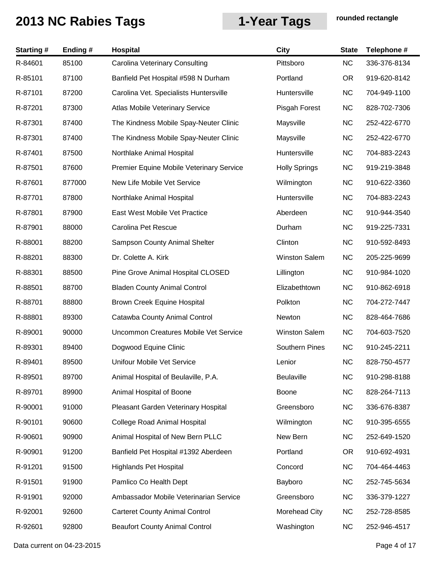| <b>Starting#</b> | Ending# | <b>Hospital</b>                          | <b>City</b>           | <b>State</b> | Telephone #  |
|------------------|---------|------------------------------------------|-----------------------|--------------|--------------|
| R-84601          | 85100   | <b>Carolina Veterinary Consulting</b>    | Pittsboro             | <b>NC</b>    | 336-376-8134 |
| R-85101          | 87100   | Banfield Pet Hospital #598 N Durham      | Portland              | OR.          | 919-620-8142 |
| R-87101          | 87200   | Carolina Vet. Specialists Huntersville   | Huntersville          | <b>NC</b>    | 704-949-1100 |
| R-87201          | 87300   | Atlas Mobile Veterinary Service          | Pisgah Forest         | <b>NC</b>    | 828-702-7306 |
| R-87301          | 87400   | The Kindness Mobile Spay-Neuter Clinic   | Maysville             | <b>NC</b>    | 252-422-6770 |
| R-87301          | 87400   | The Kindness Mobile Spay-Neuter Clinic   | Maysville             | <b>NC</b>    | 252-422-6770 |
| R-87401          | 87500   | Northlake Animal Hospital                | Huntersville          | <b>NC</b>    | 704-883-2243 |
| R-87501          | 87600   | Premier Equine Mobile Veterinary Service | <b>Holly Springs</b>  | <b>NC</b>    | 919-219-3848 |
| R-87601          | 877000  | New Life Mobile Vet Service              | Wilmington            | <b>NC</b>    | 910-622-3360 |
| R-87701          | 87800   | Northlake Animal Hospital                | Huntersville          | <b>NC</b>    | 704-883-2243 |
| R-87801          | 87900   | East West Mobile Vet Practice            | Aberdeen              | <b>NC</b>    | 910-944-3540 |
| R-87901          | 88000   | Carolina Pet Rescue                      | Durham                | <b>NC</b>    | 919-225-7331 |
| R-88001          | 88200   | Sampson County Animal Shelter            | Clinton               | <b>NC</b>    | 910-592-8493 |
| R-88201          | 88300   | Dr. Colette A. Kirk                      | <b>Winston Salem</b>  | <b>NC</b>    | 205-225-9699 |
| R-88301          | 88500   | Pine Grove Animal Hospital CLOSED        | Lillington            | <b>NC</b>    | 910-984-1020 |
| R-88501          | 88700   | <b>Bladen County Animal Control</b>      | Elizabethtown         | <b>NC</b>    | 910-862-6918 |
| R-88701          | 88800   | Brown Creek Equine Hospital              | Polkton               | <b>NC</b>    | 704-272-7447 |
| R-88801          | 89300   | Catawba County Animal Control            | Newton                | <b>NC</b>    | 828-464-7686 |
| R-89001          | 90000   | Uncommon Creatures Mobile Vet Service    | <b>Winston Salem</b>  | <b>NC</b>    | 704-603-7520 |
| R-89301          | 89400   | Dogwood Equine Clinic                    | <b>Southern Pines</b> | <b>NC</b>    | 910-245-2211 |
| R-89401          | 89500   | Unifour Mobile Vet Service               | Lenior                | <b>NC</b>    | 828-750-4577 |
| R-89501          | 89700   | Animal Hospital of Beulaville, P.A.      | <b>Beulaville</b>     | <b>NC</b>    | 910-298-8188 |
| R-89701          | 89900   | Animal Hospital of Boone                 | <b>Boone</b>          | <b>NC</b>    | 828-264-7113 |
| R-90001          | 91000   | Pleasant Garden Veterinary Hospital      | Greensboro            | <b>NC</b>    | 336-676-8387 |
| R-90101          | 90600   | <b>College Road Animal Hospital</b>      | Wilmington            | <b>NC</b>    | 910-395-6555 |
| R-90601          | 90900   | Animal Hospital of New Bern PLLC         | New Bern              | <b>NC</b>    | 252-649-1520 |
| R-90901          | 91200   | Banfield Pet Hospital #1392 Aberdeen     | Portland              | <b>OR</b>    | 910-692-4931 |
| R-91201          | 91500   | <b>Highlands Pet Hospital</b>            | Concord               | <b>NC</b>    | 704-464-4463 |
| R-91501          | 91900   | Pamlico Co Health Dept                   | Bayboro               | <b>NC</b>    | 252-745-5634 |
| R-91901          | 92000   | Ambassador Mobile Veterinarian Service   | Greensboro            | <b>NC</b>    | 336-379-1227 |
| R-92001          | 92600   | <b>Carteret County Animal Control</b>    | Morehead City         | <b>NC</b>    | 252-728-8585 |
| R-92601          | 92800   | <b>Beaufort County Animal Control</b>    | Washington            | <b>NC</b>    | 252-946-4517 |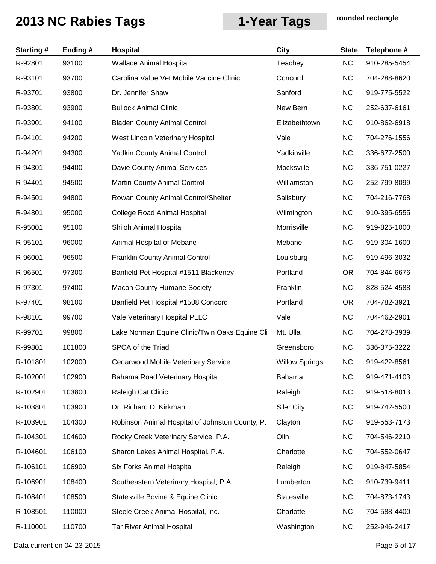| <b>Starting#</b> | Ending# | <b>Hospital</b>                                 | <b>City</b>           | <b>State</b> | Telephone #  |
|------------------|---------|-------------------------------------------------|-----------------------|--------------|--------------|
| R-92801          | 93100   | <b>Wallace Animal Hospital</b>                  | Teachey               | <b>NC</b>    | 910-285-5454 |
| R-93101          | 93700   | Carolina Value Vet Mobile Vaccine Clinic        | Concord               | <b>NC</b>    | 704-288-8620 |
| R-93701          | 93800   | Dr. Jennifer Shaw                               | Sanford               | <b>NC</b>    | 919-775-5522 |
| R-93801          | 93900   | <b>Bullock Animal Clinic</b>                    | New Bern              | <b>NC</b>    | 252-637-6161 |
| R-93901          | 94100   | <b>Bladen County Animal Control</b>             | Elizabethtown         | <b>NC</b>    | 910-862-6918 |
| R-94101          | 94200   | West Lincoln Veterinary Hospital                | Vale                  | <b>NC</b>    | 704-276-1556 |
| R-94201          | 94300   | <b>Yadkin County Animal Control</b>             | Yadkinville           | <b>NC</b>    | 336-677-2500 |
| R-94301          | 94400   | Davie County Animal Services                    | Mocksville            | <b>NC</b>    | 336-751-0227 |
| R-94401          | 94500   | Martin County Animal Control                    | Williamston           | <b>NC</b>    | 252-799-8099 |
| R-94501          | 94800   | Rowan County Animal Control/Shelter             | Salisbury             | <b>NC</b>    | 704-216-7768 |
| R-94801          | 95000   | <b>College Road Animal Hospital</b>             | Wilmington            | <b>NC</b>    | 910-395-6555 |
| R-95001          | 95100   | Shiloh Animal Hospital                          | Morrisville           | <b>NC</b>    | 919-825-1000 |
| R-95101          | 96000   | Animal Hospital of Mebane                       | Mebane                | <b>NC</b>    | 919-304-1600 |
| R-96001          | 96500   | <b>Franklin County Animal Control</b>           | Louisburg             | <b>NC</b>    | 919-496-3032 |
| R-96501          | 97300   | Banfield Pet Hospital #1511 Blackeney           | Portland              | <b>OR</b>    | 704-844-6676 |
| R-97301          | 97400   | <b>Macon County Humane Society</b>              | Franklin              | <b>NC</b>    | 828-524-4588 |
| R-97401          | 98100   | Banfield Pet Hospital #1508 Concord             | Portland              | <b>OR</b>    | 704-782-3921 |
| R-98101          | 99700   | Vale Veterinary Hospital PLLC                   | Vale                  | <b>NC</b>    | 704-462-2901 |
| R-99701          | 99800   | Lake Norman Equine Clinic/Twin Oaks Equine Cli  | Mt. Ulla              | <b>NC</b>    | 704-278-3939 |
| R-99801          | 101800  | SPCA of the Triad                               | Greensboro            | <b>NC</b>    | 336-375-3222 |
| R-101801         | 102000  | <b>Cedarwood Mobile Veterinary Service</b>      | <b>Willow Springs</b> | <b>NC</b>    | 919-422-8561 |
| R-102001         | 102900  | Bahama Road Veterinary Hospital                 | Bahama                | <b>NC</b>    | 919-471-4103 |
| R-102901         | 103800  | Raleigh Cat Clinic                              | Raleigh               | <b>NC</b>    | 919-518-8013 |
| R-103801         | 103900  | Dr. Richard D. Kirkman                          | <b>Siler City</b>     | <b>NC</b>    | 919-742-5500 |
| R-103901         | 104300  | Robinson Animal Hospital of Johnston County, P. | Clayton               | <b>NC</b>    | 919-553-7173 |
| R-104301         | 104600  | Rocky Creek Veterinary Service, P.A.            | Olin                  | <b>NC</b>    | 704-546-2210 |
| R-104601         | 106100  | Sharon Lakes Animal Hospital, P.A.              | Charlotte             | <b>NC</b>    | 704-552-0647 |
| R-106101         | 106900  | Six Forks Animal Hospital                       | Raleigh               | <b>NC</b>    | 919-847-5854 |
| R-106901         | 108400  | Southeastern Veterinary Hospital, P.A.          | Lumberton             | <b>NC</b>    | 910-739-9411 |
| R-108401         | 108500  | Statesville Bovine & Equine Clinic              | Statesville           | <b>NC</b>    | 704-873-1743 |
| R-108501         | 110000  | Steele Creek Animal Hospital, Inc.              | Charlotte             | <b>NC</b>    | 704-588-4400 |
| R-110001         | 110700  | <b>Tar River Animal Hospital</b>                | Washington            | NC           | 252-946-2417 |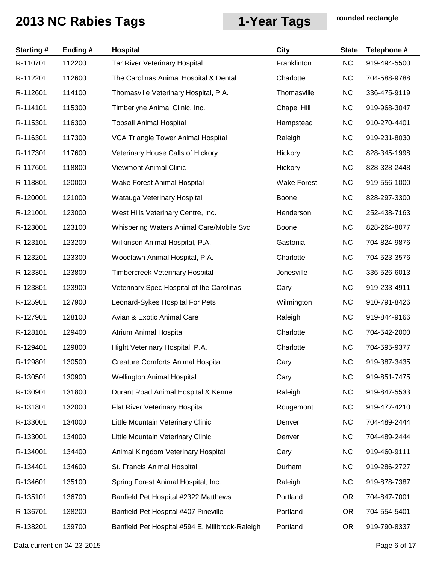| <b>Starting#</b> | Ending# | Hospital                                        | <b>City</b>        | <b>State</b> | Telephone #  |
|------------------|---------|-------------------------------------------------|--------------------|--------------|--------------|
| R-110701         | 112200  | Tar River Veterinary Hospital                   | Franklinton        | <b>NC</b>    | 919-494-5500 |
| R-112201         | 112600  | The Carolinas Animal Hospital & Dental          | Charlotte          | <b>NC</b>    | 704-588-9788 |
| R-112601         | 114100  | Thomasville Veterinary Hospital, P.A.           | Thomasville        | <b>NC</b>    | 336-475-9119 |
| R-114101         | 115300  | Timberlyne Animal Clinic, Inc.                  | <b>Chapel Hill</b> | <b>NC</b>    | 919-968-3047 |
| R-115301         | 116300  | <b>Topsail Animal Hospital</b>                  | Hampstead          | <b>NC</b>    | 910-270-4401 |
| R-116301         | 117300  | VCA Triangle Tower Animal Hospital              | Raleigh            | <b>NC</b>    | 919-231-8030 |
| R-117301         | 117600  | Veterinary House Calls of Hickory               | Hickory            | <b>NC</b>    | 828-345-1998 |
| R-117601         | 118800  | <b>Viewmont Animal Clinic</b>                   | Hickory            | <b>NC</b>    | 828-328-2448 |
| R-118801         | 120000  | Wake Forest Animal Hospital                     | <b>Wake Forest</b> | <b>NC</b>    | 919-556-1000 |
| R-120001         | 121000  | Watauga Veterinary Hospital                     | Boone              | <b>NC</b>    | 828-297-3300 |
| R-121001         | 123000  | West Hills Veterinary Centre, Inc.              | Henderson          | <b>NC</b>    | 252-438-7163 |
| R-123001         | 123100  | Whispering Waters Animal Care/Mobile Svc        | <b>Boone</b>       | <b>NC</b>    | 828-264-8077 |
| R-123101         | 123200  | Wilkinson Animal Hospital, P.A.                 | Gastonia           | <b>NC</b>    | 704-824-9876 |
| R-123201         | 123300  | Woodlawn Animal Hospital, P.A.                  | Charlotte          | <b>NC</b>    | 704-523-3576 |
| R-123301         | 123800  | <b>Timbercreek Veterinary Hospital</b>          | Jonesville         | <b>NC</b>    | 336-526-6013 |
| R-123801         | 123900  | Veterinary Spec Hospital of the Carolinas       | Cary               | <b>NC</b>    | 919-233-4911 |
| R-125901         | 127900  | Leonard-Sykes Hospital For Pets                 | Wilmington         | <b>NC</b>    | 910-791-8426 |
| R-127901         | 128100  | Avian & Exotic Animal Care                      | Raleigh            | <b>NC</b>    | 919-844-9166 |
| R-128101         | 129400  | Atrium Animal Hospital                          | Charlotte          | <b>NC</b>    | 704-542-2000 |
| R-129401         | 129800  | Hight Veterinary Hospital, P.A.                 | Charlotte          | <b>NC</b>    | 704-595-9377 |
| R-129801         | 130500  | <b>Creature Comforts Animal Hospital</b>        | Cary               | <b>NC</b>    | 919-387-3435 |
| R-130501         | 130900  | <b>Wellington Animal Hospital</b>               | Cary               | <b>NC</b>    | 919-851-7475 |
| R-130901         | 131800  | Durant Road Animal Hospital & Kennel            | Raleigh            | <b>NC</b>    | 919-847-5533 |
| R-131801         | 132000  | Flat River Veterinary Hospital                  | Rougemont          | <b>NC</b>    | 919-477-4210 |
| R-133001         | 134000  | Little Mountain Veterinary Clinic               | Denver             | <b>NC</b>    | 704-489-2444 |
| R-133001         | 134000  | Little Mountain Veterinary Clinic               | Denver             | <b>NC</b>    | 704-489-2444 |
| R-134001         | 134400  | Animal Kingdom Veterinary Hospital              | Cary               | <b>NC</b>    | 919-460-9111 |
| R-134401         | 134600  | St. Francis Animal Hospital                     | Durham             | <b>NC</b>    | 919-286-2727 |
| R-134601         | 135100  | Spring Forest Animal Hospital, Inc.             | Raleigh            | <b>NC</b>    | 919-878-7387 |
| R-135101         | 136700  | Banfield Pet Hospital #2322 Matthews            | Portland           | <b>OR</b>    | 704-847-7001 |
| R-136701         | 138200  | Banfield Pet Hospital #407 Pineville            | Portland           | <b>OR</b>    | 704-554-5401 |
| R-138201         | 139700  | Banfield Pet Hospital #594 E. Millbrook-Raleigh | Portland           | <b>OR</b>    | 919-790-8337 |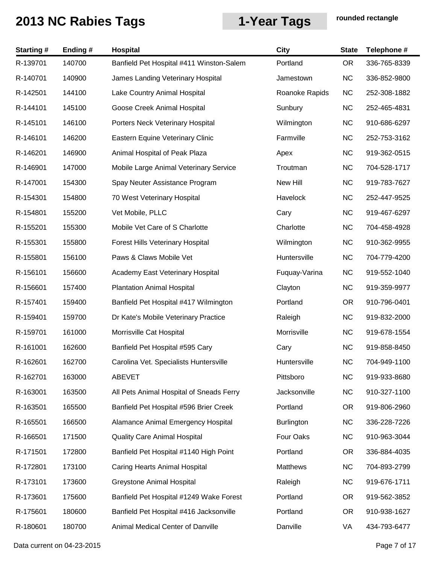| <b>Starting#</b> | Ending# | <b>Hospital</b>                          | <b>City</b>       | <b>State</b> | Telephone #  |
|------------------|---------|------------------------------------------|-------------------|--------------|--------------|
| R-139701         | 140700  | Banfield Pet Hospital #411 Winston-Salem | Portland          | <b>OR</b>    | 336-765-8339 |
| R-140701         | 140900  | James Landing Veterinary Hospital        | Jamestown         | <b>NC</b>    | 336-852-9800 |
| R-142501         | 144100  | Lake Country Animal Hospital             | Roanoke Rapids    | <b>NC</b>    | 252-308-1882 |
| R-144101         | 145100  | Goose Creek Animal Hospital              | Sunbury           | <b>NC</b>    | 252-465-4831 |
| R-145101         | 146100  | Porters Neck Veterinary Hospital         | Wilmington        | <b>NC</b>    | 910-686-6297 |
| R-146101         | 146200  | Eastern Equine Veterinary Clinic         | Farmville         | <b>NC</b>    | 252-753-3162 |
| R-146201         | 146900  | Animal Hospital of Peak Plaza            | Apex              | <b>NC</b>    | 919-362-0515 |
| R-146901         | 147000  | Mobile Large Animal Veterinary Service   | Troutman          | <b>NC</b>    | 704-528-1717 |
| R-147001         | 154300  | Spay Neuter Assistance Program           | New Hill          | <b>NC</b>    | 919-783-7627 |
| R-154301         | 154800  | 70 West Veterinary Hospital              | Havelock          | <b>NC</b>    | 252-447-9525 |
| R-154801         | 155200  | Vet Mobile, PLLC                         | Cary              | <b>NC</b>    | 919-467-6297 |
| R-155201         | 155300  | Mobile Vet Care of S Charlotte           | Charlotte         | <b>NC</b>    | 704-458-4928 |
| R-155301         | 155800  | <b>Forest Hills Veterinary Hospital</b>  | Wilmington        | <b>NC</b>    | 910-362-9955 |
| R-155801         | 156100  | Paws & Claws Mobile Vet                  | Huntersville      | <b>NC</b>    | 704-779-4200 |
| R-156101         | 156600  | Academy East Veterinary Hospital         | Fuquay-Varina     | <b>NC</b>    | 919-552-1040 |
| R-156601         | 157400  | <b>Plantation Animal Hospital</b>        | Clayton           | <b>NC</b>    | 919-359-9977 |
| R-157401         | 159400  | Banfield Pet Hospital #417 Wilmington    | Portland          | <b>OR</b>    | 910-796-0401 |
| R-159401         | 159700  | Dr Kate's Mobile Veterinary Practice     | Raleigh           | <b>NC</b>    | 919-832-2000 |
| R-159701         | 161000  | Morrisville Cat Hospital                 | Morrisville       | <b>NC</b>    | 919-678-1554 |
| R-161001         | 162600  | Banfield Pet Hospital #595 Cary          | Cary              | <b>NC</b>    | 919-858-8450 |
| R-162601         | 162700  | Carolina Vet. Specialists Huntersville   | Huntersville      | <b>NC</b>    | 704-949-1100 |
| R-162701         | 163000  | <b>ABEVET</b>                            | Pittsboro         | <b>NC</b>    | 919-933-8680 |
| R-163001         | 163500  | All Pets Animal Hospital of Sneads Ferry | Jacksonville      | <b>NC</b>    | 910-327-1100 |
| R-163501         | 165500  | Banfield Pet Hospital #596 Brier Creek   | Portland          | <b>OR</b>    | 919-806-2960 |
| R-165501         | 166500  | Alamance Animal Emergency Hospital       | <b>Burlington</b> | <b>NC</b>    | 336-228-7226 |
| R-166501         | 171500  | <b>Quality Care Animal Hospital</b>      | Four Oaks         | <b>NC</b>    | 910-963-3044 |
| R-171501         | 172800  | Banfield Pet Hospital #1140 High Point   | Portland          | <b>OR</b>    | 336-884-4035 |
| R-172801         | 173100  | Caring Hearts Animal Hospital            | Matthews          | <b>NC</b>    | 704-893-2799 |
| R-173101         | 173600  | <b>Greystone Animal Hospital</b>         | Raleigh           | <b>NC</b>    | 919-676-1711 |
| R-173601         | 175600  | Banfield Pet Hospital #1249 Wake Forest  | Portland          | OR.          | 919-562-3852 |
| R-175601         | 180600  | Banfield Pet Hospital #416 Jacksonville  | Portland          | <b>OR</b>    | 910-938-1627 |
| R-180601         | 180700  | Animal Medical Center of Danville        | Danville          | VA           | 434-793-6477 |

Data current on 04-23-2015 **Page 7 of 17**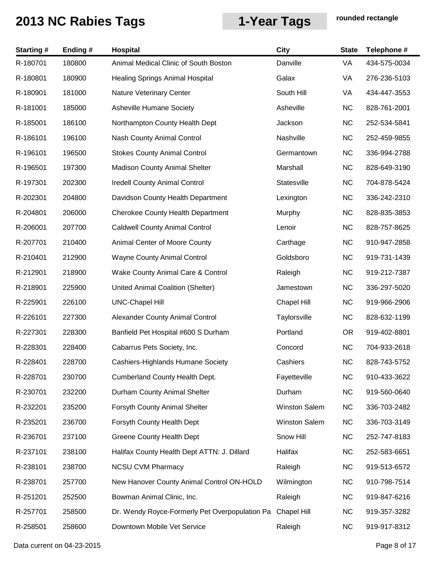| <b>Starting#</b> | Ending# | Hospital                                       | <b>City</b>          | <b>State</b> | Telephone #  |
|------------------|---------|------------------------------------------------|----------------------|--------------|--------------|
| R-180701         | 180800  | Animal Medical Clinic of South Boston          | Danville             | VA           | 434-575-0034 |
| R-180801         | 180900  | <b>Healing Springs Animal Hospital</b>         | Galax                | VA           | 276-236-5103 |
| R-180901         | 181000  | Nature Veterinary Center                       | South Hill           | VA           | 434-447-3553 |
| R-181001         | 185000  | <b>Asheville Humane Society</b>                | Asheville            | <b>NC</b>    | 828-761-2001 |
| R-185001         | 186100  | Northampton County Health Dept                 | Jackson              | <b>NC</b>    | 252-534-5841 |
| R-186101         | 196100  | Nash County Animal Control                     | Nashville            | <b>NC</b>    | 252-459-9855 |
| R-196101         | 196500  | <b>Stokes County Animal Control</b>            | Germantown           | <b>NC</b>    | 336-994-2788 |
| R-196501         | 197300  | <b>Madison County Animal Shelter</b>           | Marshall             | <b>NC</b>    | 828-649-3190 |
| R-197301         | 202300  | <b>Iredell County Animal Control</b>           | Statesville          | <b>NC</b>    | 704-878-5424 |
| R-202301         | 204800  | Davidson County Health Department              | Lexington            | <b>NC</b>    | 336-242-2310 |
| R-204801         | 206000  | <b>Cherokee County Health Department</b>       | Murphy               | <b>NC</b>    | 828-835-3853 |
| R-206001         | 207700  | <b>Caldwell County Animal Control</b>          | Lenoir               | <b>NC</b>    | 828-757-8625 |
| R-207701         | 210400  | Animal Center of Moore County                  | Carthage             | <b>NC</b>    | 910-947-2858 |
| R-210401         | 212900  | <b>Wayne County Animal Control</b>             | Goldsboro            | <b>NC</b>    | 919-731-1439 |
| R-212901         | 218900  | Wake County Animal Care & Control              | Raleigh              | <b>NC</b>    | 919-212-7387 |
| R-218901         | 225900  | United Animal Coalition (Shelter)              | Jamestown            | <b>NC</b>    | 336-297-5020 |
| R-225901         | 226100  | <b>UNC-Chapel Hill</b>                         | <b>Chapel Hill</b>   | <b>NC</b>    | 919-966-2906 |
| R-226101         | 227300  | Alexander County Animal Control                | Taylorsville         | <b>NC</b>    | 828-632-1199 |
| R-227301         | 228300  | Banfield Pet Hospital #600 S Durham            | Portland             | <b>OR</b>    | 919-402-8801 |
| R-228301         | 228400  | Cabarrus Pets Society, Inc.                    | Concord              | <b>NC</b>    | 704-933-2618 |
| R-228401         | 228700  | Cashiers-Highlands Humane Society              | Cashiers             | <b>NC</b>    | 828-743-5752 |
| R-228701         | 230700  | Cumberland County Health Dept.                 | Fayetteville         | <b>NC</b>    | 910-433-3622 |
| R-230701         | 232200  | Durham County Animal Shelter                   | Durham               | <b>NC</b>    | 919-560-0640 |
| R-232201         | 235200  | Forsyth County Animal Shelter                  | <b>Winston Salem</b> | <b>NC</b>    | 336-703-2482 |
| R-235201         | 236700  | Forsyth County Health Dept                     | <b>Winston Salem</b> | <b>NC</b>    | 336-703-3149 |
| R-236701         | 237100  | <b>Greene County Health Dept</b>               | Snow Hill            | <b>NC</b>    | 252-747-8183 |
| R-237101         | 238100  | Halifax County Health Dept ATTN: J. Dillard    | Halifax              | <b>NC</b>    | 252-583-6651 |
| R-238101         | 238700  | <b>NCSU CVM Pharmacy</b>                       | Raleigh              | <b>NC</b>    | 919-513-6572 |
| R-238701         | 257700  | New Hanover County Animal Control ON-HOLD      | Wilmington           | <b>NC</b>    | 910-798-7514 |
| R-251201         | 252500  | Bowman Animal Clinic, Inc.                     | Raleigh              | <b>NC</b>    | 919-847-6216 |
| R-257701         | 258500  | Dr. Wendy Royce-Formerly Pet Overpopulation Pa | <b>Chapel Hill</b>   | <b>NC</b>    | 919-357-3282 |
| R-258501         | 258600  | Downtown Mobile Vet Service                    | Raleigh              | <b>NC</b>    | 919-917-8312 |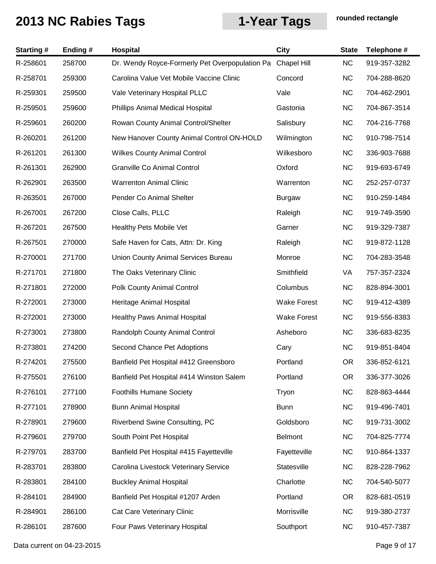| <b>Starting#</b> | Ending# | <b>Hospital</b>                                | <b>City</b>        | <b>State</b> | Telephone #  |
|------------------|---------|------------------------------------------------|--------------------|--------------|--------------|
| R-258601         | 258700  | Dr. Wendy Royce-Formerly Pet Overpopulation Pa | <b>Chapel Hill</b> | <b>NC</b>    | 919-357-3282 |
| R-258701         | 259300  | Carolina Value Vet Mobile Vaccine Clinic       | Concord            | <b>NC</b>    | 704-288-8620 |
| R-259301         | 259500  | Vale Veterinary Hospital PLLC                  | Vale               | <b>NC</b>    | 704-462-2901 |
| R-259501         | 259600  | Phillips Animal Medical Hospital               | Gastonia           | <b>NC</b>    | 704-867-3514 |
| R-259601         | 260200  | Rowan County Animal Control/Shelter            | Salisbury          | <b>NC</b>    | 704-216-7768 |
| R-260201         | 261200  | New Hanover County Animal Control ON-HOLD      | Wilmington         | <b>NC</b>    | 910-798-7514 |
| R-261201         | 261300  | <b>Wilkes County Animal Control</b>            | Wilkesboro         | <b>NC</b>    | 336-903-7688 |
| R-261301         | 262900  | <b>Granville Co Animal Control</b>             | Oxford             | <b>NC</b>    | 919-693-6749 |
| R-262901         | 263500  | <b>Warrenton Animal Clinic</b>                 | Warrenton          | <b>NC</b>    | 252-257-0737 |
| R-263501         | 267000  | Pender Co Animal Shelter                       | <b>Burgaw</b>      | <b>NC</b>    | 910-259-1484 |
| R-267001         | 267200  | Close Calls, PLLC                              | Raleigh            | <b>NC</b>    | 919-749-3590 |
| R-267201         | 267500  | Healthy Pets Mobile Vet                        | Garner             | <b>NC</b>    | 919-329-7387 |
| R-267501         | 270000  | Safe Haven for Cats, Attn: Dr. King            | Raleigh            | <b>NC</b>    | 919-872-1128 |
| R-270001         | 271700  | Union County Animal Services Bureau            | Monroe             | <b>NC</b>    | 704-283-3548 |
| R-271701         | 271800  | The Oaks Veterinary Clinic                     | Smithfield         | VA           | 757-357-2324 |
| R-271801         | 272000  | Polk County Animal Control                     | Columbus           | <b>NC</b>    | 828-894-3001 |
| R-272001         | 273000  | Heritage Animal Hospital                       | <b>Wake Forest</b> | <b>NC</b>    | 919-412-4389 |
| R-272001         | 273000  | <b>Healthy Paws Animal Hospital</b>            | <b>Wake Forest</b> | <b>NC</b>    | 919-556-8383 |
| R-273001         | 273800  | Randolph County Animal Control                 | Asheboro           | <b>NC</b>    | 336-683-8235 |
| R-273801         | 274200  | Second Chance Pet Adoptions                    | Cary               | <b>NC</b>    | 919-851-8404 |
| R-274201         | 275500  | Banfield Pet Hospital #412 Greensboro          | Portland           | <b>OR</b>    | 336-852-6121 |
| R-275501         | 276100  | Banfield Pet Hospital #414 Winston Salem       | Portland           | <b>OR</b>    | 336-377-3026 |
| R-276101         | 277100  | <b>Foothills Humane Society</b>                | Tryon              | <b>NC</b>    | 828-863-4444 |
| R-277101         | 278900  | <b>Bunn Animal Hospital</b>                    | <b>Bunn</b>        | <b>NC</b>    | 919-496-7401 |
| R-278901         | 279600  | Riverbend Swine Consulting, PC                 | Goldsboro          | <b>NC</b>    | 919-731-3002 |
| R-279601         | 279700  | South Point Pet Hospital                       | <b>Belmont</b>     | <b>NC</b>    | 704-825-7774 |
| R-279701         | 283700  | Banfield Pet Hospital #415 Fayetteville        | Fayetteville       | <b>NC</b>    | 910-864-1337 |
| R-283701         | 283800  | Carolina Livestock Veterinary Service          | Statesville        | <b>NC</b>    | 828-228-7962 |
| R-283801         | 284100  | <b>Buckley Animal Hospital</b>                 | Charlotte          | <b>NC</b>    | 704-540-5077 |
| R-284101         | 284900  | Banfield Pet Hospital #1207 Arden              | Portland           | OR.          | 828-681-0519 |
| R-284901         | 286100  | Cat Care Veterinary Clinic                     | Morrisville        | <b>NC</b>    | 919-380-2737 |
| R-286101         | 287600  | Four Paws Veterinary Hospital                  | Southport          | <b>NC</b>    | 910-457-7387 |

Data current on 04-23-2015 **Page 9 of 17**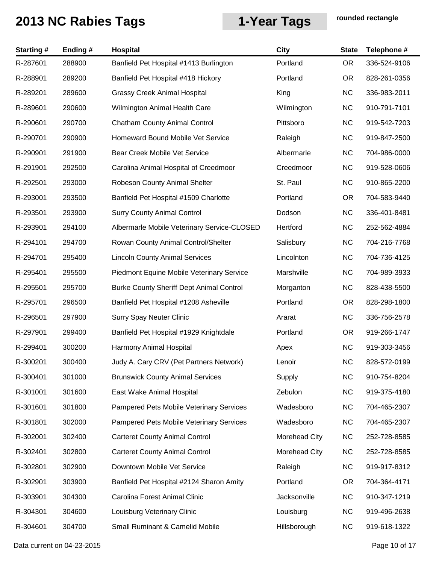| <b>Starting#</b> | Ending# | Hospital                                        | <b>City</b>   | <b>State</b> | Telephone #  |
|------------------|---------|-------------------------------------------------|---------------|--------------|--------------|
| R-287601         | 288900  | Banfield Pet Hospital #1413 Burlington          | Portland      | <b>OR</b>    | 336-524-9106 |
| R-288901         | 289200  | Banfield Pet Hospital #418 Hickory              | Portland      | <b>OR</b>    | 828-261-0356 |
| R-289201         | 289600  | <b>Grassy Creek Animal Hospital</b>             | King          | <b>NC</b>    | 336-983-2011 |
| R-289601         | 290600  | Wilmington Animal Health Care                   | Wilmington    | <b>NC</b>    | 910-791-7101 |
| R-290601         | 290700  | <b>Chatham County Animal Control</b>            | Pittsboro     | <b>NC</b>    | 919-542-7203 |
| R-290701         | 290900  | <b>Homeward Bound Mobile Vet Service</b>        | Raleigh       | <b>NC</b>    | 919-847-2500 |
| R-290901         | 291900  | <b>Bear Creek Mobile Vet Service</b>            | Albermarle    | <b>NC</b>    | 704-986-0000 |
| R-291901         | 292500  | Carolina Animal Hospital of Creedmoor           | Creedmoor     | <b>NC</b>    | 919-528-0606 |
| R-292501         | 293000  | Robeson County Animal Shelter                   | St. Paul      | <b>NC</b>    | 910-865-2200 |
| R-293001         | 293500  | Banfield Pet Hospital #1509 Charlotte           | Portland      | <b>OR</b>    | 704-583-9440 |
| R-293501         | 293900  | <b>Surry County Animal Control</b>              | Dodson        | <b>NC</b>    | 336-401-8481 |
| R-293901         | 294100  | Albermarle Mobile Veterinary Service-CLOSED     | Hertford      | <b>NC</b>    | 252-562-4884 |
| R-294101         | 294700  | Rowan County Animal Control/Shelter             | Salisbury     | <b>NC</b>    | 704-216-7768 |
| R-294701         | 295400  | <b>Lincoln County Animal Services</b>           | Lincolnton    | <b>NC</b>    | 704-736-4125 |
| R-295401         | 295500  | Piedmont Equine Mobile Veterinary Service       | Marshville    | <b>NC</b>    | 704-989-3933 |
| R-295501         | 295700  | <b>Burke County Sheriff Dept Animal Control</b> | Morganton     | <b>NC</b>    | 828-438-5500 |
| R-295701         | 296500  | Banfield Pet Hospital #1208 Asheville           | Portland      | OR.          | 828-298-1800 |
| R-296501         | 297900  | <b>Surry Spay Neuter Clinic</b>                 | Ararat        | <b>NC</b>    | 336-756-2578 |
| R-297901         | 299400  | Banfield Pet Hospital #1929 Knightdale          | Portland      | <b>OR</b>    | 919-266-1747 |
| R-299401         | 300200  | Harmony Animal Hospital                         | Apex          | <b>NC</b>    | 919-303-3456 |
| R-300201         | 300400  | Judy A. Cary CRV (Pet Partners Network)         | Lenoir        | <b>NC</b>    | 828-572-0199 |
| R-300401         | 301000  | <b>Brunswick County Animal Services</b>         | Supply        | <b>NC</b>    | 910-754-8204 |
| R-301001         | 301600  | East Wake Animal Hospital                       | Zebulon       | <b>NC</b>    | 919-375-4180 |
| R-301601         | 301800  | Pampered Pets Mobile Veterinary Services        | Wadesboro     | <b>NC</b>    | 704-465-2307 |
| R-301801         | 302000  | Pampered Pets Mobile Veterinary Services        | Wadesboro     | <b>NC</b>    | 704-465-2307 |
| R-302001         | 302400  | <b>Carteret County Animal Control</b>           | Morehead City | <b>NC</b>    | 252-728-8585 |
| R-302401         | 302800  | <b>Carteret County Animal Control</b>           | Morehead City | <b>NC</b>    | 252-728-8585 |
| R-302801         | 302900  | Downtown Mobile Vet Service                     | Raleigh       | <b>NC</b>    | 919-917-8312 |
| R-302901         | 303900  | Banfield Pet Hospital #2124 Sharon Amity        | Portland      | OR.          | 704-364-4171 |
| R-303901         | 304300  | Carolina Forest Animal Clinic                   | Jacksonville  | <b>NC</b>    | 910-347-1219 |
| R-304301         | 304600  | Louisburg Veterinary Clinic                     | Louisburg     | <b>NC</b>    | 919-496-2638 |
| R-304601         | 304700  | Small Ruminant & Camelid Mobile                 | Hillsborough  | <b>NC</b>    | 919-618-1322 |
|                  |         |                                                 |               |              |              |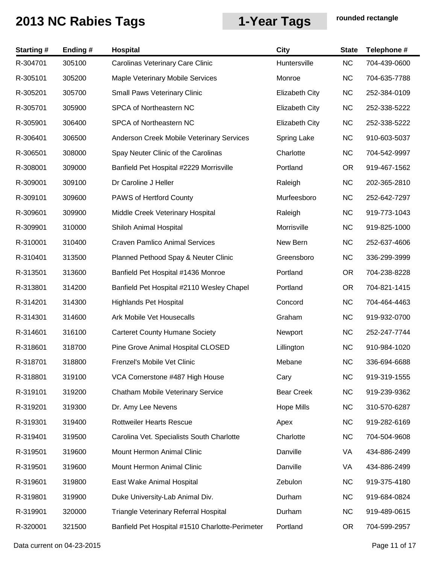| <b>Starting#</b> | Ending# | <b>Hospital</b>                                 | <b>City</b>           | <b>State</b>    | Telephone #  |
|------------------|---------|-------------------------------------------------|-----------------------|-----------------|--------------|
| R-304701         | 305100  | Carolinas Veterinary Care Clinic                | Huntersville          | <b>NC</b>       | 704-439-0600 |
| R-305101         | 305200  | Maple Veterinary Mobile Services                | Monroe                | <b>NC</b>       | 704-635-7788 |
| R-305201         | 305700  | <b>Small Paws Veterinary Clinic</b>             | <b>Elizabeth City</b> | <b>NC</b>       | 252-384-0109 |
| R-305701         | 305900  | SPCA of Northeastern NC                         | <b>Elizabeth City</b> | <b>NC</b>       | 252-338-5222 |
| R-305901         | 306400  | SPCA of Northeastern NC                         | <b>Elizabeth City</b> | <b>NC</b>       | 252-338-5222 |
| R-306401         | 306500  | Anderson Creek Mobile Veterinary Services       | Spring Lake           | <b>NC</b>       | 910-603-5037 |
| R-306501         | 308000  | Spay Neuter Clinic of the Carolinas             | Charlotte             | <b>NC</b>       | 704-542-9997 |
| R-308001         | 309000  | Banfield Pet Hospital #2229 Morrisville         | Portland              | <b>OR</b>       | 919-467-1562 |
| R-309001         | 309100  | Dr Caroline J Heller                            | Raleigh               | <b>NC</b>       | 202-365-2810 |
| R-309101         | 309600  | PAWS of Hertford County                         | Murfeesboro           | <b>NC</b>       | 252-642-7297 |
| R-309601         | 309900  | Middle Creek Veterinary Hospital                | Raleigh               | <b>NC</b>       | 919-773-1043 |
| R-309901         | 310000  | Shiloh Animal Hospital                          | Morrisville           | <b>NC</b>       | 919-825-1000 |
| R-310001         | 310400  | <b>Craven Pamlico Animal Services</b>           | New Bern              | <b>NC</b>       | 252-637-4606 |
| R-310401         | 313500  | Planned Pethood Spay & Neuter Clinic            | Greensboro            | <b>NC</b>       | 336-299-3999 |
| R-313501         | 313600  | Banfield Pet Hospital #1436 Monroe              | Portland              | <b>OR</b>       | 704-238-8228 |
| R-313801         | 314200  | Banfield Pet Hospital #2110 Wesley Chapel       | Portland              | <b>OR</b>       | 704-821-1415 |
| R-314201         | 314300  | <b>Highlands Pet Hospital</b>                   | Concord               | <b>NC</b>       | 704-464-4463 |
| R-314301         | 314600  | Ark Mobile Vet Housecalls                       | Graham                | <b>NC</b>       | 919-932-0700 |
| R-314601         | 316100  | <b>Carteret County Humane Society</b>           | Newport               | <b>NC</b>       | 252-247-7744 |
| R-318601         | 318700  | Pine Grove Animal Hospital CLOSED               | Lillington            | <b>NC</b>       | 910-984-1020 |
| R-318701         | 318800  | Frenzel's Mobile Vet Clinic                     | Mebane                | <b>NC</b>       | 336-694-6688 |
| R-318801         | 319100  | VCA Cornerstone #487 High House                 | Cary                  | <b>NC</b>       | 919-319-1555 |
| R-319101         | 319200  | Chatham Mobile Veterinary Service               | <b>Bear Creek</b>     | <b>NC</b>       | 919-239-9362 |
| R-319201         | 319300  | Dr. Amy Lee Nevens                              | <b>Hope Mills</b>     | <b>NC</b>       | 310-570-6287 |
| R-319301         | 319400  | <b>Rottweiler Hearts Rescue</b>                 | Apex                  | <b>NC</b>       | 919-282-6169 |
| R-319401         | 319500  | Carolina Vet. Specialists South Charlotte       | Charlotte             | <b>NC</b>       | 704-504-9608 |
| R-319501         | 319600  | Mount Hermon Animal Clinic                      | Danville              | VA              | 434-886-2499 |
| R-319501         | 319600  | Mount Hermon Animal Clinic                      | Danville              | VA              | 434-886-2499 |
| R-319601         | 319800  | East Wake Animal Hospital                       | Zebulon               | <b>NC</b>       | 919-375-4180 |
| R-319801         | 319900  | Duke University-Lab Animal Div.                 | Durham                | <b>NC</b>       | 919-684-0824 |
| R-319901         | 320000  | Triangle Veterinary Referral Hospital           | Durham                | <b>NC</b>       | 919-489-0615 |
| R-320001         | 321500  | Banfield Pet Hospital #1510 Charlotte-Perimeter | Portland              | OR <sub>.</sub> | 704-599-2957 |

Data current on 04-23-2015 **Page 11 of 17**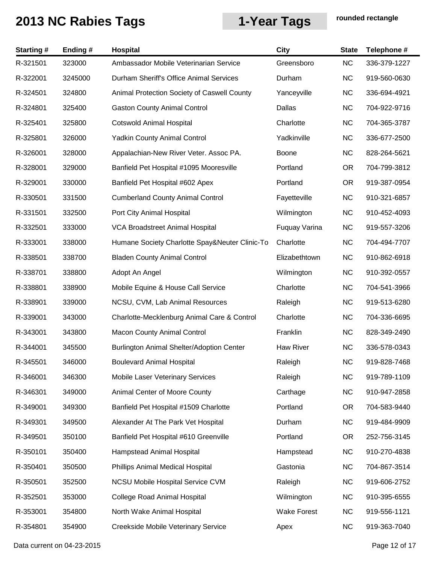| <b>Starting#</b> | Ending# | Hospital                                       | City               | <b>State</b> | Telephone #  |
|------------------|---------|------------------------------------------------|--------------------|--------------|--------------|
| R-321501         | 323000  | Ambassador Mobile Veterinarian Service         | Greensboro         | <b>NC</b>    | 336-379-1227 |
| R-322001         | 3245000 | Durham Sheriff's Office Animal Services        | Durham             | <b>NC</b>    | 919-560-0630 |
| R-324501         | 324800  | Animal Protection Society of Caswell County    | Yanceyville        | <b>NC</b>    | 336-694-4921 |
| R-324801         | 325400  | <b>Gaston County Animal Control</b>            | Dallas             | <b>NC</b>    | 704-922-9716 |
| R-325401         | 325800  | <b>Cotswold Animal Hospital</b>                | Charlotte          | <b>NC</b>    | 704-365-3787 |
| R-325801         | 326000  | <b>Yadkin County Animal Control</b>            | Yadkinville        | <b>NC</b>    | 336-677-2500 |
| R-326001         | 328000  | Appalachian-New River Veter. Assoc PA.         | Boone              | <b>NC</b>    | 828-264-5621 |
| R-328001         | 329000  | Banfield Pet Hospital #1095 Mooresville        | Portland           | <b>OR</b>    | 704-799-3812 |
| R-329001         | 330000  | Banfield Pet Hospital #602 Apex                | Portland           | <b>OR</b>    | 919-387-0954 |
| R-330501         | 331500  | <b>Cumberland County Animal Control</b>        | Fayetteville       | <b>NC</b>    | 910-321-6857 |
| R-331501         | 332500  | Port City Animal Hospital                      | Wilmington         | <b>NC</b>    | 910-452-4093 |
| R-332501         | 333000  | VCA Broadstreet Animal Hospital                | Fuquay Varina      | <b>NC</b>    | 919-557-3206 |
| R-333001         | 338000  | Humane Society Charlotte Spay&Neuter Clinic-To | Charlotte          | <b>NC</b>    | 704-494-7707 |
| R-338501         | 338700  | <b>Bladen County Animal Control</b>            | Elizabethtown      | <b>NC</b>    | 910-862-6918 |
| R-338701         | 338800  | Adopt An Angel                                 | Wilmington         | <b>NC</b>    | 910-392-0557 |
| R-338801         | 338900  | Mobile Equine & House Call Service             | Charlotte          | <b>NC</b>    | 704-541-3966 |
| R-338901         | 339000  | NCSU, CVM, Lab Animal Resources                | Raleigh            | <b>NC</b>    | 919-513-6280 |
| R-339001         | 343000  | Charlotte-Mecklenburg Animal Care & Control    | Charlotte          | <b>NC</b>    | 704-336-6695 |
| R-343001         | 343800  | <b>Macon County Animal Control</b>             | Franklin           | <b>NC</b>    | 828-349-2490 |
| R-344001         | 345500  | Burlington Animal Shelter/Adoption Center      | Haw River          | <b>NC</b>    | 336-578-0343 |
| R-345501         | 346000  | <b>Boulevard Animal Hospital</b>               | Raleigh            | <b>NC</b>    | 919-828-7468 |
| R-346001         | 346300  | <b>Mobile Laser Veterinary Services</b>        | Raleigh            | <b>NC</b>    | 919-789-1109 |
| R-346301         | 349000  | Animal Center of Moore County                  | Carthage           | <b>NC</b>    | 910-947-2858 |
| R-349001         | 349300  | Banfield Pet Hospital #1509 Charlotte          | Portland           | <b>OR</b>    | 704-583-9440 |
| R-349301         | 349500  | Alexander At The Park Vet Hospital             | Durham             | <b>NC</b>    | 919-484-9909 |
| R-349501         | 350100  | Banfield Pet Hospital #610 Greenville          | Portland           | <b>OR</b>    | 252-756-3145 |
| R-350101         | 350400  | Hampstead Animal Hospital                      | Hampstead          | <b>NC</b>    | 910-270-4838 |
| R-350401         | 350500  | Phillips Animal Medical Hospital               | Gastonia           | <b>NC</b>    | 704-867-3514 |
| R-350501         | 352500  | <b>NCSU Mobile Hospital Service CVM</b>        | Raleigh            | <b>NC</b>    | 919-606-2752 |
| R-352501         | 353000  | <b>College Road Animal Hospital</b>            | Wilmington         | <b>NC</b>    | 910-395-6555 |
| R-353001         | 354800  | North Wake Animal Hospital                     | <b>Wake Forest</b> | <b>NC</b>    | 919-556-1121 |
| R-354801         | 354900  | Creekside Mobile Veterinary Service            | Apex               | <b>NC</b>    | 919-363-7040 |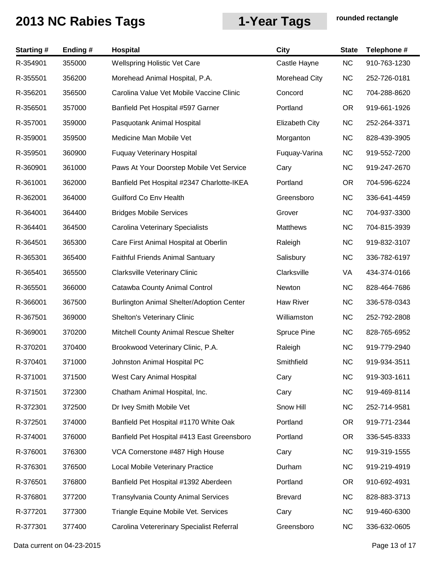| <b>Starting#</b> | Ending# | <b>Hospital</b>                            | <b>City</b>           | <b>State</b> | Telephone #  |
|------------------|---------|--------------------------------------------|-----------------------|--------------|--------------|
| R-354901         | 355000  | <b>Wellspring Holistic Vet Care</b>        | Castle Hayne          | <b>NC</b>    | 910-763-1230 |
| R-355501         | 356200  | Morehead Animal Hospital, P.A.             | Morehead City         | <b>NC</b>    | 252-726-0181 |
| R-356201         | 356500  | Carolina Value Vet Mobile Vaccine Clinic   | Concord               | <b>NC</b>    | 704-288-8620 |
| R-356501         | 357000  | Banfield Pet Hospital #597 Garner          | Portland              | <b>OR</b>    | 919-661-1926 |
| R-357001         | 359000  | Pasquotank Animal Hospital                 | <b>Elizabeth City</b> | <b>NC</b>    | 252-264-3371 |
| R-359001         | 359500  | Medicine Man Mobile Vet                    | Morganton             | <b>NC</b>    | 828-439-3905 |
| R-359501         | 360900  | <b>Fuquay Veterinary Hospital</b>          | Fuquay-Varina         | <b>NC</b>    | 919-552-7200 |
| R-360901         | 361000  | Paws At Your Doorstep Mobile Vet Service   | Cary                  | <b>NC</b>    | 919-247-2670 |
| R-361001         | 362000  | Banfield Pet Hospital #2347 Charlotte-IKEA | Portland              | <b>OR</b>    | 704-596-6224 |
| R-362001         | 364000  | <b>Guilford Co Env Health</b>              | Greensboro            | <b>NC</b>    | 336-641-4459 |
| R-364001         | 364400  | <b>Bridges Mobile Services</b>             | Grover                | <b>NC</b>    | 704-937-3300 |
| R-364401         | 364500  | <b>Carolina Veterinary Specialists</b>     | <b>Matthews</b>       | <b>NC</b>    | 704-815-3939 |
| R-364501         | 365300  | Care First Animal Hospital at Oberlin      | Raleigh               | <b>NC</b>    | 919-832-3107 |
| R-365301         | 365400  | <b>Faithful Friends Animal Santuary</b>    | Salisbury             | <b>NC</b>    | 336-782-6197 |
| R-365401         | 365500  | Clarksville Veterinary Clinic              | Clarksville           | VA           | 434-374-0166 |
| R-365501         | 366000  | Catawba County Animal Control              | Newton                | <b>NC</b>    | 828-464-7686 |
| R-366001         | 367500  | Burlington Animal Shelter/Adoption Center  | <b>Haw River</b>      | <b>NC</b>    | 336-578-0343 |
| R-367501         | 369000  | <b>Shelton's Veterinary Clinic</b>         | Williamston           | <b>NC</b>    | 252-792-2808 |
| R-369001         | 370200  | Mitchell County Animal Rescue Shelter      | Spruce Pine           | <b>NC</b>    | 828-765-6952 |
| R-370201         | 370400  | Brookwood Veterinary Clinic, P.A.          | Raleigh               | <b>NC</b>    | 919-779-2940 |
| R-370401         | 371000  | Johnston Animal Hospital PC                | Smithfield            | <b>NC</b>    | 919-934-3511 |
| R-371001         | 371500  | West Cary Animal Hospital                  | Cary                  | <b>NC</b>    | 919-303-1611 |
| R-371501         | 372300  | Chatham Animal Hospital, Inc.              | Cary                  | <b>NC</b>    | 919-469-8114 |
| R-372301         | 372500  | Dr Ivey Smith Mobile Vet                   | Snow Hill             | <b>NC</b>    | 252-714-9581 |
| R-372501         | 374000  | Banfield Pet Hospital #1170 White Oak      | Portland              | <b>OR</b>    | 919-771-2344 |
| R-374001         | 376000  | Banfield Pet Hospital #413 East Greensboro | Portland              | <b>OR</b>    | 336-545-8333 |
| R-376001         | 376300  | VCA Cornerstone #487 High House            | Cary                  | <b>NC</b>    | 919-319-1555 |
| R-376301         | 376500  | Local Mobile Veterinary Practice           | Durham                | <b>NC</b>    | 919-219-4919 |
| R-376501         | 376800  | Banfield Pet Hospital #1392 Aberdeen       | Portland              | <b>OR</b>    | 910-692-4931 |
| R-376801         | 377200  | <b>Transylvania County Animal Services</b> | <b>Brevard</b>        | <b>NC</b>    | 828-883-3713 |
| R-377201         | 377300  | Triangle Equine Mobile Vet. Services       | Cary                  | <b>NC</b>    | 919-460-6300 |
| R-377301         | 377400  | Carolina Vetererinary Specialist Referral  | Greensboro            | <b>NC</b>    | 336-632-0605 |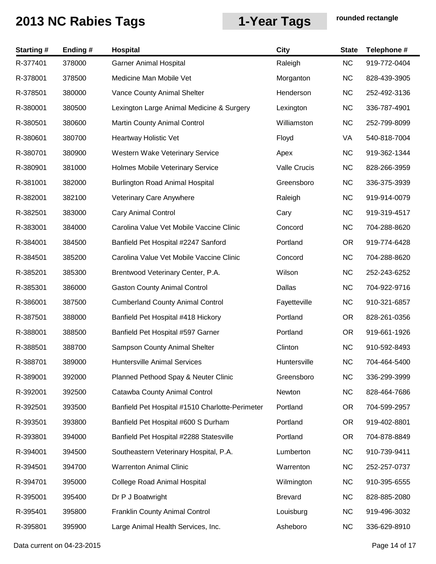| <b>Starting#</b> | Ending # | <b>Hospital</b>                                 | <b>City</b>    | <b>State</b> | Telephone #  |
|------------------|----------|-------------------------------------------------|----------------|--------------|--------------|
| R-377401         | 378000   | <b>Garner Animal Hospital</b>                   | Raleigh        | <b>NC</b>    | 919-772-0404 |
| R-378001         | 378500   | Medicine Man Mobile Vet                         | Morganton      | <b>NC</b>    | 828-439-3905 |
| R-378501         | 380000   | Vance County Animal Shelter                     | Henderson      | <b>NC</b>    | 252-492-3136 |
| R-380001         | 380500   | Lexington Large Animal Medicine & Surgery       | Lexington      | <b>NC</b>    | 336-787-4901 |
| R-380501         | 380600   | Martin County Animal Control                    | Williamston    | <b>NC</b>    | 252-799-8099 |
| R-380601         | 380700   | <b>Heartway Holistic Vet</b>                    | Floyd          | VA           | 540-818-7004 |
| R-380701         | 380900   | <b>Western Wake Veterinary Service</b>          | Apex           | <b>NC</b>    | 919-362-1344 |
| R-380901         | 381000   | Holmes Mobile Veterinary Service                | Valle Crucis   | <b>NC</b>    | 828-266-3959 |
| R-381001         | 382000   | <b>Burlington Road Animal Hospital</b>          | Greensboro     | <b>NC</b>    | 336-375-3939 |
| R-382001         | 382100   | Veterinary Care Anywhere                        | Raleigh        | <b>NC</b>    | 919-914-0079 |
| R-382501         | 383000   | <b>Cary Animal Control</b>                      | Cary           | <b>NC</b>    | 919-319-4517 |
| R-383001         | 384000   | Carolina Value Vet Mobile Vaccine Clinic        | Concord        | <b>NC</b>    | 704-288-8620 |
| R-384001         | 384500   | Banfield Pet Hospital #2247 Sanford             | Portland       | <b>OR</b>    | 919-774-6428 |
| R-384501         | 385200   | Carolina Value Vet Mobile Vaccine Clinic        | Concord        | <b>NC</b>    | 704-288-8620 |
| R-385201         | 385300   | Brentwood Veterinary Center, P.A.               | Wilson         | <b>NC</b>    | 252-243-6252 |
| R-385301         | 386000   | <b>Gaston County Animal Control</b>             | Dallas         | <b>NC</b>    | 704-922-9716 |
| R-386001         | 387500   | <b>Cumberland County Animal Control</b>         | Fayetteville   | <b>NC</b>    | 910-321-6857 |
| R-387501         | 388000   | Banfield Pet Hospital #418 Hickory              | Portland       | OR.          | 828-261-0356 |
| R-388001         | 388500   | Banfield Pet Hospital #597 Garner               | Portland       | <b>OR</b>    | 919-661-1926 |
| R-388501         | 388700   | <b>Sampson County Animal Shelter</b>            | Clinton        | <b>NC</b>    | 910-592-8493 |
| R-388701         | 389000   | <b>Huntersville Animal Services</b>             | Huntersville   | NC.          | 704-464-5400 |
| R-389001         | 392000   | Planned Pethood Spay & Neuter Clinic            | Greensboro     | <b>NC</b>    | 336-299-3999 |
| R-392001         | 392500   | Catawba County Animal Control                   | Newton         | <b>NC</b>    | 828-464-7686 |
| R-392501         | 393500   | Banfield Pet Hospital #1510 Charlotte-Perimeter | Portland       | OR.          | 704-599-2957 |
| R-393501         | 393800   | Banfield Pet Hospital #600 S Durham             | Portland       | <b>OR</b>    | 919-402-8801 |
| R-393801         | 394000   | Banfield Pet Hospital #2288 Statesville         | Portland       | <b>OR</b>    | 704-878-8849 |
| R-394001         | 394500   | Southeastern Veterinary Hospital, P.A.          | Lumberton      | <b>NC</b>    | 910-739-9411 |
| R-394501         | 394700   | <b>Warrenton Animal Clinic</b>                  | Warrenton      | <b>NC</b>    | 252-257-0737 |
| R-394701         | 395000   | <b>College Road Animal Hospital</b>             | Wilmington     | <b>NC</b>    | 910-395-6555 |
| R-395001         | 395400   | Dr P J Boatwright                               | <b>Brevard</b> | <b>NC</b>    | 828-885-2080 |
| R-395401         | 395800   | <b>Franklin County Animal Control</b>           | Louisburg      | <b>NC</b>    | 919-496-3032 |
| R-395801         | 395900   | Large Animal Health Services, Inc.              | Asheboro       | <b>NC</b>    | 336-629-8910 |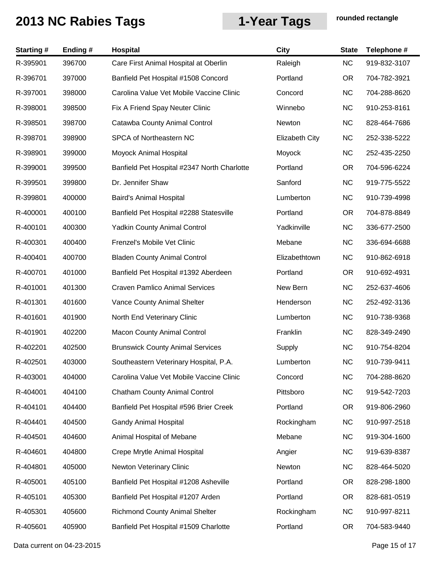| <b>Starting#</b> | Ending # | Hospital                                    | <b>City</b>           | <b>State</b> | Telephone #  |
|------------------|----------|---------------------------------------------|-----------------------|--------------|--------------|
| R-395901         | 396700   | Care First Animal Hospital at Oberlin       | Raleigh               | NC           | 919-832-3107 |
| R-396701         | 397000   | Banfield Pet Hospital #1508 Concord         | Portland              | <b>OR</b>    | 704-782-3921 |
| R-397001         | 398000   | Carolina Value Vet Mobile Vaccine Clinic    | Concord               | <b>NC</b>    | 704-288-8620 |
| R-398001         | 398500   | Fix A Friend Spay Neuter Clinic             | Winnebo               | <b>NC</b>    | 910-253-8161 |
| R-398501         | 398700   | Catawba County Animal Control               | Newton                | <b>NC</b>    | 828-464-7686 |
| R-398701         | 398900   | SPCA of Northeastern NC                     | <b>Elizabeth City</b> | <b>NC</b>    | 252-338-5222 |
| R-398901         | 399000   | Moyock Animal Hospital                      | Moyock                | <b>NC</b>    | 252-435-2250 |
| R-399001         | 399500   | Banfield Pet Hospital #2347 North Charlotte | Portland              | OR.          | 704-596-6224 |
| R-399501         | 399800   | Dr. Jennifer Shaw                           | Sanford               | <b>NC</b>    | 919-775-5522 |
| R-399801         | 400000   | <b>Baird's Animal Hospital</b>              | Lumberton             | <b>NC</b>    | 910-739-4998 |
| R-400001         | 400100   | Banfield Pet Hospital #2288 Statesville     | Portland              | <b>OR</b>    | 704-878-8849 |
| R-400101         | 400300   | <b>Yadkin County Animal Control</b>         | Yadkinville           | <b>NC</b>    | 336-677-2500 |
| R-400301         | 400400   | Frenzel's Mobile Vet Clinic                 | Mebane                | <b>NC</b>    | 336-694-6688 |
| R-400401         | 400700   | <b>Bladen County Animal Control</b>         | Elizabethtown         | <b>NC</b>    | 910-862-6918 |
| R-400701         | 401000   | Banfield Pet Hospital #1392 Aberdeen        | Portland              | <b>OR</b>    | 910-692-4931 |
| R-401001         | 401300   | <b>Craven Pamlico Animal Services</b>       | New Bern              | <b>NC</b>    | 252-637-4606 |
| R-401301         | 401600   | Vance County Animal Shelter                 | Henderson             | <b>NC</b>    | 252-492-3136 |
| R-401601         | 401900   | North End Veterinary Clinic                 | Lumberton             | <b>NC</b>    | 910-738-9368 |
| R-401901         | 402200   | <b>Macon County Animal Control</b>          | Franklin              | <b>NC</b>    | 828-349-2490 |
| R-402201         | 402500   | <b>Brunswick County Animal Services</b>     | Supply                | <b>NC</b>    | 910-754-8204 |
| R-402501         | 403000   | Southeastern Veterinary Hospital, P.A.      | Lumberton             | NC           | 910-739-9411 |
| R-403001         | 404000   | Carolina Value Vet Mobile Vaccine Clinic    | Concord               | <b>NC</b>    | 704-288-8620 |
| R-404001         | 404100   | <b>Chatham County Animal Control</b>        | Pittsboro             | <b>NC</b>    | 919-542-7203 |
| R-404101         | 404400   | Banfield Pet Hospital #596 Brier Creek      | Portland              | OR.          | 919-806-2960 |
| R-404401         | 404500   | <b>Gandy Animal Hospital</b>                | Rockingham            | <b>NC</b>    | 910-997-2518 |
| R-404501         | 404600   | Animal Hospital of Mebane                   | Mebane                | <b>NC</b>    | 919-304-1600 |
| R-404601         | 404800   | Crepe Mrytle Animal Hospital                | Angier                | <b>NC</b>    | 919-639-8387 |
| R-404801         | 405000   | Newton Veterinary Clinic                    | Newton                | <b>NC</b>    | 828-464-5020 |
| R-405001         | 405100   | Banfield Pet Hospital #1208 Asheville       | Portland              | <b>OR</b>    | 828-298-1800 |
| R-405101         | 405300   | Banfield Pet Hospital #1207 Arden           | Portland              | OR.          | 828-681-0519 |
| R-405301         | 405600   | <b>Richmond County Animal Shelter</b>       | Rockingham            | <b>NC</b>    | 910-997-8211 |
| R-405601         | 405900   | Banfield Pet Hospital #1509 Charlotte       | Portland              | OR.          | 704-583-9440 |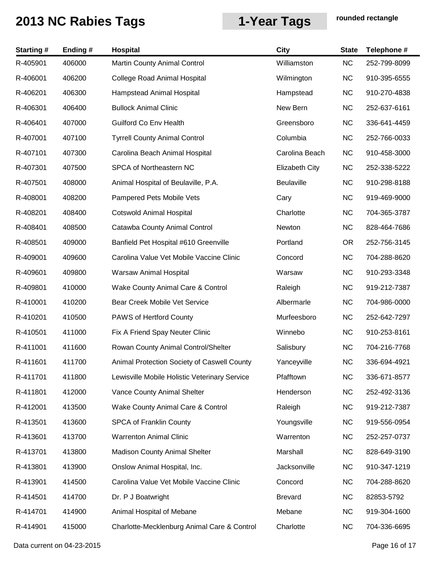| <b>Starting#</b> | Ending# | Hospital                                      | City                  | <b>State</b> | Telephone #  |
|------------------|---------|-----------------------------------------------|-----------------------|--------------|--------------|
| R-405901         | 406000  | Martin County Animal Control                  | Williamston           | NC           | 252-799-8099 |
| R-406001         | 406200  | <b>College Road Animal Hospital</b>           | Wilmington            | <b>NC</b>    | 910-395-6555 |
| R-406201         | 406300  | Hampstead Animal Hospital                     | Hampstead             | <b>NC</b>    | 910-270-4838 |
| R-406301         | 406400  | <b>Bullock Animal Clinic</b>                  | New Bern              | <b>NC</b>    | 252-637-6161 |
| R-406401         | 407000  | <b>Guilford Co Env Health</b>                 | Greensboro            | <b>NC</b>    | 336-641-4459 |
| R-407001         | 407100  | <b>Tyrrell County Animal Control</b>          | Columbia              | <b>NC</b>    | 252-766-0033 |
| R-407101         | 407300  | Carolina Beach Animal Hospital                | Carolina Beach        | <b>NC</b>    | 910-458-3000 |
| R-407301         | 407500  | SPCA of Northeastern NC                       | <b>Elizabeth City</b> | <b>NC</b>    | 252-338-5222 |
| R-407501         | 408000  | Animal Hospital of Beulaville, P.A.           | Beulaville            | <b>NC</b>    | 910-298-8188 |
| R-408001         | 408200  | Pampered Pets Mobile Vets                     | Cary                  | <b>NC</b>    | 919-469-9000 |
| R-408201         | 408400  | <b>Cotswold Animal Hospital</b>               | Charlotte             | <b>NC</b>    | 704-365-3787 |
| R-408401         | 408500  | Catawba County Animal Control                 | Newton                | <b>NC</b>    | 828-464-7686 |
| R-408501         | 409000  | Banfield Pet Hospital #610 Greenville         | Portland              | <b>OR</b>    | 252-756-3145 |
| R-409001         | 409600  | Carolina Value Vet Mobile Vaccine Clinic      | Concord               | <b>NC</b>    | 704-288-8620 |
| R-409601         | 409800  | Warsaw Animal Hospital                        | Warsaw                | <b>NC</b>    | 910-293-3348 |
| R-409801         | 410000  | Wake County Animal Care & Control             | Raleigh               | <b>NC</b>    | 919-212-7387 |
| R-410001         | 410200  | Bear Creek Mobile Vet Service                 | Albermarle            | <b>NC</b>    | 704-986-0000 |
| R-410201         | 410500  | PAWS of Hertford County                       | Murfeesboro           | <b>NC</b>    | 252-642-7297 |
| R-410501         | 411000  | Fix A Friend Spay Neuter Clinic               | Winnebo               | <b>NC</b>    | 910-253-8161 |
| R-411001         | 411600  | Rowan County Animal Control/Shelter           | Salisbury             | <b>NC</b>    | 704-216-7768 |
| R-411601         | 411700  | Animal Protection Society of Caswell County   | Yanceyville           | <b>NC</b>    | 336-694-4921 |
| R-411701         | 411800  | Lewisville Mobile Holistic Veterinary Service | Pfafftown             | <b>NC</b>    | 336-671-8577 |
| R-411801         | 412000  | Vance County Animal Shelter                   | Henderson             | <b>NC</b>    | 252-492-3136 |
| R-412001         | 413500  | Wake County Animal Care & Control             | Raleigh               | <b>NC</b>    | 919-212-7387 |
| R-413501         | 413600  | <b>SPCA of Franklin County</b>                | Youngsville           | <b>NC</b>    | 919-556-0954 |
| R-413601         | 413700  | <b>Warrenton Animal Clinic</b>                | Warrenton             | <b>NC</b>    | 252-257-0737 |
| R-413701         | 413800  | <b>Madison County Animal Shelter</b>          | Marshall              | <b>NC</b>    | 828-649-3190 |
| R-413801         | 413900  | Onslow Animal Hospital, Inc.                  | Jacksonville          | <b>NC</b>    | 910-347-1219 |
| R-413901         | 414500  | Carolina Value Vet Mobile Vaccine Clinic      | Concord               | <b>NC</b>    | 704-288-8620 |
| R-414501         | 414700  | Dr. P J Boatwright                            | <b>Brevard</b>        | <b>NC</b>    | 82853-5792   |
| R-414701         | 414900  | Animal Hospital of Mebane                     | Mebane                | <b>NC</b>    | 919-304-1600 |
| R-414901         | 415000  | Charlotte-Mecklenburg Animal Care & Control   | Charlotte             | <b>NC</b>    | 704-336-6695 |

Data current on 04-23-2015 **Page 16 of 17**